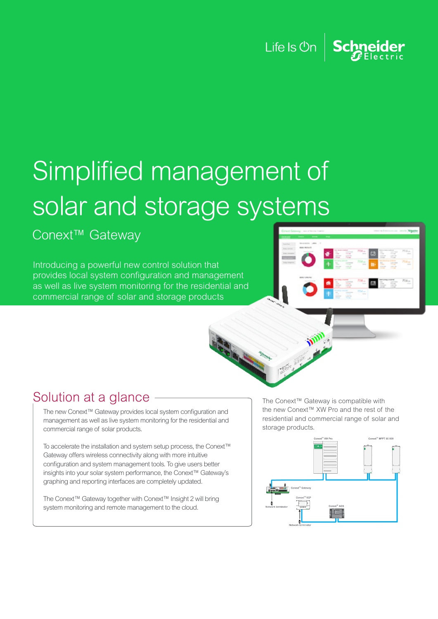Life Is  $\mathcal{O}_n$  Schneider

# Simplified management of solar and storage systems

Conext<sup>™</sup> Gateway

Introducing a powerful new control solution that provides local system configuration and management as well as live system monitoring for the residential and commercial range of solar and storage products





### Solution at a glance

The new Conext™ Gateway provides local system configuration and management as well as live system monitoring for the residential and commercial range of solar products.

To accelerate the installation and system setup process, the Conext™ Gateway offers wireless connectivity along with more intuitive configuration and system management tools. To give users better insights into your solar system performance, the Conext™ Gateway's graphing and reporting interfaces are completely updated.

The Conext™ Gateway together with Conext™ Insight 2 will bring system monitoring and remote management to the cloud.

The Conext™ Gateway is compatible with the new Conext™ XW Pro and the rest of the residential and commercial range of solar and storage products.

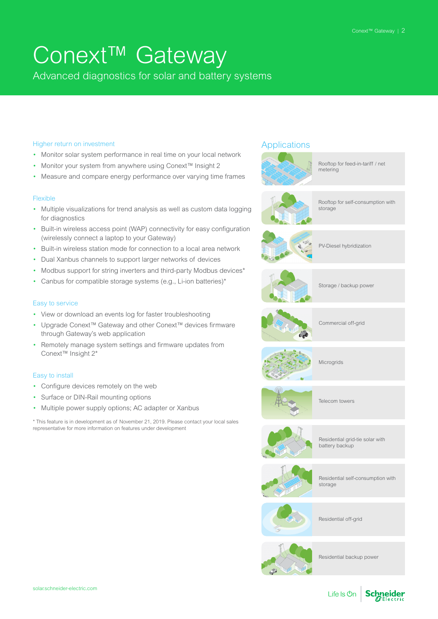### Conext™ Gateway

Advanced diagnostics for solar and battery systems

#### Higher return on investment

- Monitor solar system performance in real time on your local network
- Monitor your system from anywhere using Conext™ Insight 2
- Measure and compare energy performance over varying time frames

#### Flexible

- Multiple visualizations for trend analysis as well as custom data logging for diagnostics
- Built-in wireless access point (WAP) connectivity for easy configuration (wirelessly connect a laptop to your Gateway)
- Built-in wireless station mode for connection to a local area network
- Dual Xanbus channels to support larger networks of devices
- Modbus support for string inverters and third-party Modbus devices<sup>\*</sup>
- Canbus for compatible storage systems (e.g., Li-ion batteries)\*

#### Easy to service

- View or download an events log for faster troubleshooting
- Upgrade Conext™ Gateway and other Conext™ devices firmware through Gateway's web application
- Remotely manage system settings and firmware updates from Conext™ Insight 2\*

#### Easy to install

- Configure devices remotely on the web
- Surface or DIN-Rail mounting options
- Multiple power supply options; AC adapter or Xanbus

\* This feature is in development as of November 21, 2019. Please contact your local sales representative for more information on features under development